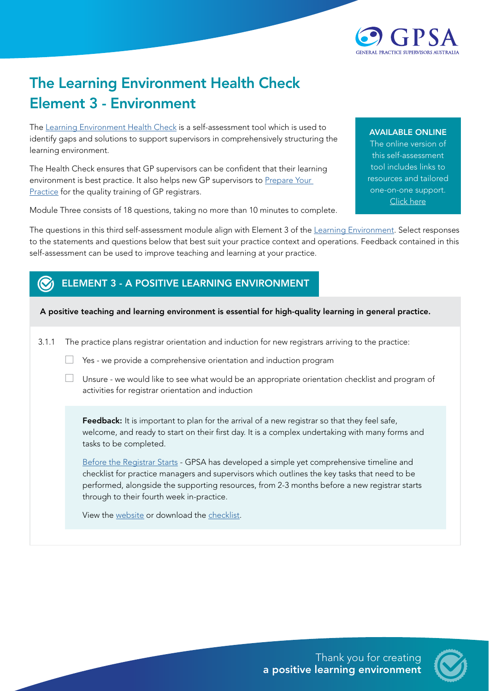

## The Learning Environment Health Check Element 3 - Environment

The [Learning Environment Health Check](https://gpsupervisorsaustralia.org.au/learning-environment-health-check/) is a self-assessment tool which is used to identify gaps and solutions to support supervisors in comprehensively structuring the learning environment.

The Health Check ensures that GP supervisors can be confident that their learning environment is best practice. It also helps new GP supervisors to Prepare Your [Practice](https://gpsupervisorsaustralia.org.au/prepare-your-practice/) for the quality training of GP registrars.

Module Three consists of 18 questions, taking no more than 10 minutes to complete.

## AVAILABLE ONLINE

The online version of this self-assessment tool includes links to resources and tailored one-on-one support. [Click here](https://gpsupervisorsaustralia.org.au/learning-environment-health-check/ )

The questions in this third self-assessment module align with Element 3 of the [Learning Environment.](https://gpsupervisorsaustralia.org.au/the-learning-environment/) Select responses to the statements and questions below that best suit your practice context and operations. Feedback contained in this self-assessment can be used to improve teaching and learning at your practice.

## ELEMENT 3 - A POSITIVE LEARNING ENVIRONMENT

## A positive teaching and learning environment is essential for high-quality learning in general practice.

3.1.1 The practice plans registrar orientation and induction for new registrars arriving to the practice:

- $\Box$  Yes we provide a comprehensive orientation and induction program
- $\Box$  Unsure we would like to see what would be an appropriate orientation checklist and program of activities for registrar orientation and induction

Feedback: It is important to plan for the arrival of a new registrar so that they feel safe, welcome, and ready to start on their first day. It is a complex undertaking with many forms and tasks to be completed.

[Before the Registrar Starts](https://gpsupervisorsaustralia.org.au/before-the-registrar-starts/) - GPSA has developed a simple yet comprehensive timeline and checklist for practice managers and supervisors which outlines the key tasks that need to be performed, alongside the supporting resources, from 2-3 months before a new registrar starts through to their fourth week in-practice.

View the [website](https://gpsupervisorsaustralia.org.au/before-the-registrar-starts/) or download the [checklist.](https://gpsupervisorsaustralia.org.au/download/15452/)

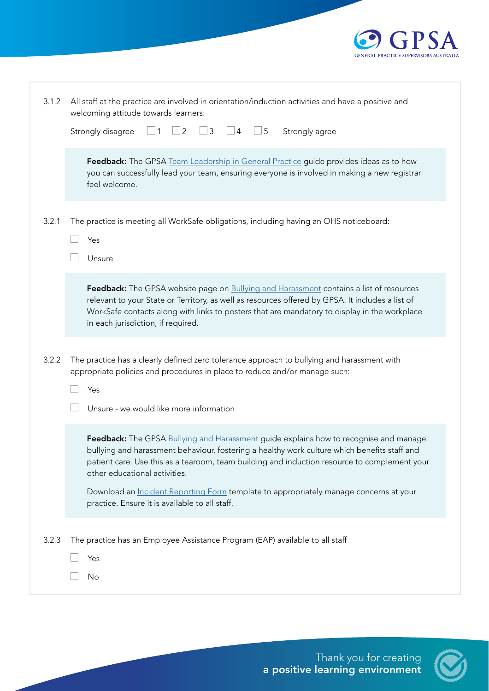

| 3.1.2 | All staff at the practice are involved in orientation/induction activities and have a positive and<br>welcoming attitude towards learners:                                                                                                                                                                                               |
|-------|------------------------------------------------------------------------------------------------------------------------------------------------------------------------------------------------------------------------------------------------------------------------------------------------------------------------------------------|
|       | $\Box$ 3<br>$\Box$ 5<br>Strongly disagree<br>$\vert$ 1<br>2<br>Strongly agree<br>$\overline{4}$                                                                                                                                                                                                                                          |
|       | Feedback: The GPSA Team Leadership in General Practice guide provides ideas as to how<br>you can successfully lead your team, ensuring everyone is involved in making a new registrar<br>feel welcome.                                                                                                                                   |
| 3.2.1 | The practice is meeting all WorkSafe obligations, including having an OHS noticeboard:<br>Yes<br>Unsure                                                                                                                                                                                                                                  |
|       | Feedback: The GPSA website page on <b>Bullying and Harassment</b> contains a list of resources<br>relevant to your State or Territory, as well as resources offered by GPSA. It includes a list of<br>WorkSafe contacts along with links to posters that are mandatory to display in the workplace<br>in each jurisdiction, if required. |
| 3.2.2 | The practice has a clearly defined zero tolerance approach to bullying and harassment with<br>appropriate policies and procedures in place to reduce and/or manage such:<br>Yes<br>Unsure - we would like more information                                                                                                               |
|       | Feedback: The GPSA Bullying and Harassment guide explains how to recognise and manage<br>bullying and harassment behaviour, fostering a healthy work culture which benefits staff and<br>patient care. Use this as a tearoom, team building and induction resource to complement your<br>other educational activities.                   |
|       | Download an <i>Incident Reporting Form</i> template to appropriately manage concerns at your<br>practice. Ensure it is available to all staff.                                                                                                                                                                                           |
| 3.2.3 | The practice has an Employee Assistance Program (EAP) available to all staff<br>Yes<br>No                                                                                                                                                                                                                                                |

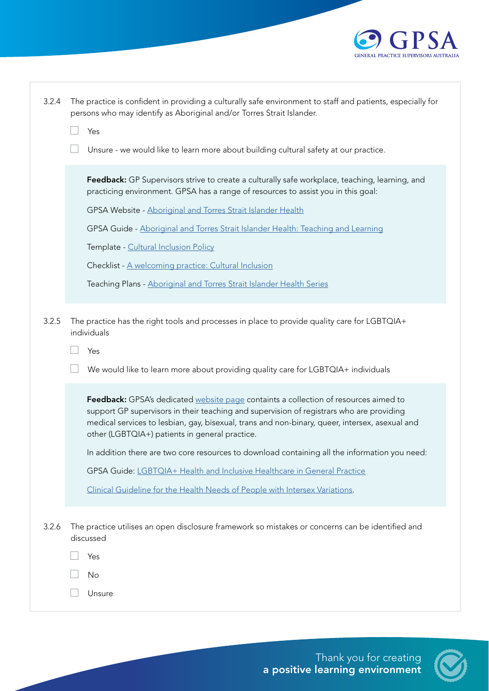

| 3.2.4 | The practice is confident in providing a culturally safe environment to staff and patients, especially for<br>persons who may identify as Aboriginal and/or Torres Strait Islander.                                                                                                                                                  |
|-------|--------------------------------------------------------------------------------------------------------------------------------------------------------------------------------------------------------------------------------------------------------------------------------------------------------------------------------------|
|       | Yes                                                                                                                                                                                                                                                                                                                                  |
|       | Unsure - we would like to learn more about building cultural safety at our practice.                                                                                                                                                                                                                                                 |
|       | Feedback: GP Supervisors strive to create a culturally safe workplace, teaching, learning, and<br>practicing environment. GPSA has a range of resources to assist you in this goal:                                                                                                                                                  |
|       | GPSA Website - Aboriginal and Torres Strait Islander Health                                                                                                                                                                                                                                                                          |
|       | GPSA Guide - Aboriginal and Torres Strait Islander Health: Teaching and Learning                                                                                                                                                                                                                                                     |
|       | Template - Cultural Inclusion Policy                                                                                                                                                                                                                                                                                                 |
|       | Checklist - A welcoming practice: Cultural Inclusion                                                                                                                                                                                                                                                                                 |
|       | Teaching Plans - Aboriginal and Torres Strait Islander Health Series                                                                                                                                                                                                                                                                 |
|       |                                                                                                                                                                                                                                                                                                                                      |
| 3.2.5 | The practice has the right tools and processes in place to provide quality care for LGBTQIA+<br>individuals                                                                                                                                                                                                                          |
|       | Yes                                                                                                                                                                                                                                                                                                                                  |
|       | We would like to learn more about providing quality care for LGBTQIA+ individuals                                                                                                                                                                                                                                                    |
|       | Feedback: GPSA's dedicated website page containts a collection of resources aimed to<br>support GP supervisors in their teaching and supervision of registrars who are providing<br>medical services to lesbian, gay, bisexual, trans and non-binary, queer, intersex, asexual and<br>other (LGBTQIA+) patients in general practice. |
|       | In addition there are two core resources to download containing all the information you need:                                                                                                                                                                                                                                        |
|       | GPSA Guide: LGBTQIA+ Health and Inclusive Healthcare in General Practice                                                                                                                                                                                                                                                             |
|       | Clinical Guideline for the Health Needs of People with Intersex Variations.                                                                                                                                                                                                                                                          |
| 3.2.6 | The practice utilises an open disclosure framework so mistakes or concerns can be identified and<br>discussed                                                                                                                                                                                                                        |
|       | Yes                                                                                                                                                                                                                                                                                                                                  |
|       | No                                                                                                                                                                                                                                                                                                                                   |
|       | Unsure                                                                                                                                                                                                                                                                                                                               |

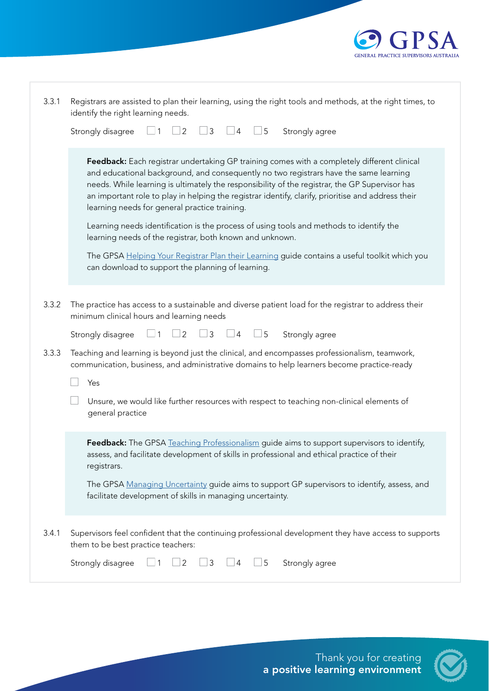

| 3.3.1 | Registrars are assisted to plan their learning, using the right tools and methods, at the right times, to<br>identify the right learning needs.                                                                                                                                                                                                                                                                                               |
|-------|-----------------------------------------------------------------------------------------------------------------------------------------------------------------------------------------------------------------------------------------------------------------------------------------------------------------------------------------------------------------------------------------------------------------------------------------------|
|       | ∫ 1<br>$\overline{2}$<br>$\overline{3}$<br>$\Box$<br>Strongly disagree<br>$\Box$<br>Strongly agree                                                                                                                                                                                                                                                                                                                                            |
|       | Feedback: Each registrar undertaking GP training comes with a completely different clinical<br>and educational background, and consequently no two registrars have the same learning<br>needs. While learning is ultimately the responsibility of the registrar, the GP Supervisor has<br>an important role to play in helping the registrar identify, clarify, prioritise and address their<br>learning needs for general practice training. |
|       | Learning needs identification is the process of using tools and methods to identify the<br>learning needs of the registrar, both known and unknown.                                                                                                                                                                                                                                                                                           |
|       | The GPSA Helping Your Registrar Plan their Learning guide contains a useful toolkit which you<br>can download to support the planning of learning.                                                                                                                                                                                                                                                                                            |
| 3.3.2 | The practice has access to a sustainable and diverse patient load for the registrar to address their<br>minimum clinical hours and learning needs                                                                                                                                                                                                                                                                                             |
|       | 2<br>3<br>$\Box$ 5<br>Strongly agree<br>Strongly disagree<br>4                                                                                                                                                                                                                                                                                                                                                                                |
| 3.3.3 | Teaching and learning is beyond just the clinical, and encompasses professionalism, teamwork,<br>communication, business, and administrative domains to help learners become practice-ready                                                                                                                                                                                                                                                   |
|       | Yes                                                                                                                                                                                                                                                                                                                                                                                                                                           |
|       | Unsure, we would like further resources with respect to teaching non-clinical elements of<br>general practice                                                                                                                                                                                                                                                                                                                                 |
|       | Feedback: The GPSA Teaching Professionalism guide aims to support supervisors to identify,<br>assess, and facilitate development of skills in professional and ethical practice of their<br>registrars.                                                                                                                                                                                                                                       |
|       | The GPSA Managing Uncertainty guide aims to support GP supervisors to identify, assess, and<br>facilitate development of skills in managing uncertainty.                                                                                                                                                                                                                                                                                      |
| 3.4.1 | Supervisors feel confident that the continuing professional development they have access to supports<br>them to be best practice teachers:                                                                                                                                                                                                                                                                                                    |
|       | Strongly disagree<br>$\overline{\phantom{0}}$ 5<br>Strongly agree<br>2<br>$\Box$ 3<br>$\perp$ 4                                                                                                                                                                                                                                                                                                                                               |

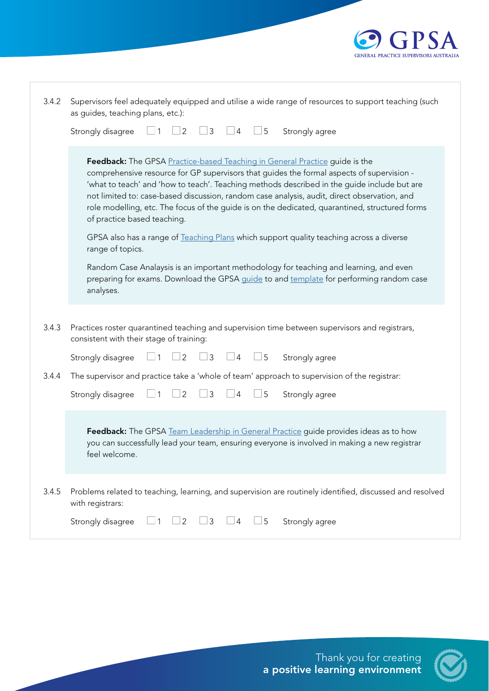

| 3.4.2 | Supervisors feel adequately equipped and utilise a wide range of resources to support teaching (such<br>as guides, teaching plans, etc.):                                                                                                                                                                                                                                                                                                                                                               |
|-------|---------------------------------------------------------------------------------------------------------------------------------------------------------------------------------------------------------------------------------------------------------------------------------------------------------------------------------------------------------------------------------------------------------------------------------------------------------------------------------------------------------|
|       | $\vert$ 2<br>$\mathfrak{Z}$<br>$\Box$ 5<br>Strongly disagree<br>$\vert 4 \vert$<br>Strongly agree<br>1                                                                                                                                                                                                                                                                                                                                                                                                  |
|       | Feedback: The GPSA Practice-based Teaching in General Practice guide is the<br>comprehensive resource for GP supervisors that guides the formal aspects of supervision -<br>'what to teach' and 'how to teach'. Teaching methods described in the guide include but are<br>not limited to: case-based discussion, random case analysis, audit, direct observation, and<br>role modelling, etc. The focus of the guide is on the dedicated, quarantined, structured forms<br>of practice based teaching. |
|       | GPSA also has a range of Teaching Plans which support quality teaching across a diverse<br>range of topics.                                                                                                                                                                                                                                                                                                                                                                                             |
|       | Random Case Analaysis is an important methodology for teaching and learning, and even<br>preparing for exams. Download the GPSA guide to and template for performing random case<br>analyses.                                                                                                                                                                                                                                                                                                           |
| 3.4.3 | Practices roster quarantined teaching and supervision time between supervisors and registrars,<br>consistent with their stage of training:                                                                                                                                                                                                                                                                                                                                                              |
|       | $\overline{2}$<br>3<br>$\Box$ 5<br>Strongly agree<br>Strongly disagree<br>$\overline{4}$                                                                                                                                                                                                                                                                                                                                                                                                                |
| 3.4.4 | The supervisor and practice take a 'whole of team' approach to supervision of the registrar:                                                                                                                                                                                                                                                                                                                                                                                                            |
|       | Strongly disagree<br>$\overline{2}$<br>3<br>$\overline{4}$<br>$\overline{\phantom{0}}$ 5<br>Strongly agree<br>」1                                                                                                                                                                                                                                                                                                                                                                                        |
|       | Feedback: The GPSA Team Leadership in General Practice guide provides ideas as to how<br>you can successfully lead your team, ensuring everyone is involved in making a new registrar<br>feel welcome.                                                                                                                                                                                                                                                                                                  |
| 3.4.5 | Problems related to teaching, learning, and supervision are routinely identified, discussed and resolved<br>with registrars:                                                                                                                                                                                                                                                                                                                                                                            |
|       | Strongly disagree<br>$\sqrt{5}$<br>Strongly agree<br>$\overline{2}$<br>3<br>$\overline{4}$                                                                                                                                                                                                                                                                                                                                                                                                              |